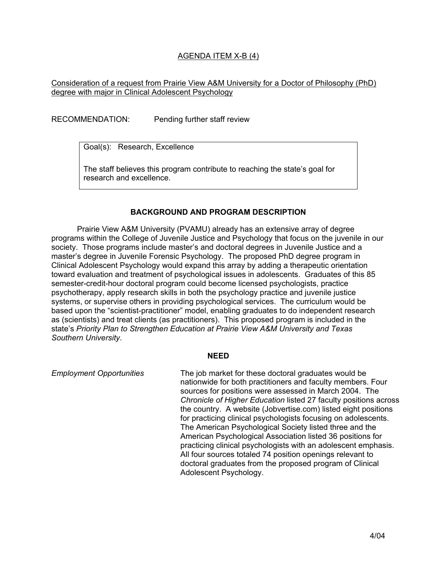# AGENDA ITEM X-B (4)

## Consideration of a request from Prairie View A&M University for a Doctor of Philosophy (PhD) degree with major in Clinical Adolescent Psychology

RECOMMENDATION: Pending further staff review

Goal(s): Research, Excellence

The staff believes this program contribute to reaching the state's goal for research and excellence.

## **BACKGROUND AND PROGRAM DESCRIPTION**

 Prairie View A&M University (PVAMU) already has an extensive array of degree programs within the College of Juvenile Justice and Psychology that focus on the juvenile in our society. Those programs include master's and doctoral degrees in Juvenile Justice and a master's degree in Juvenile Forensic Psychology. The proposed PhD degree program in Clinical Adolescent Psychology would expand this array by adding a therapeutic orientation toward evaluation and treatment of psychological issues in adolescents. Graduates of this 85 semester-credit-hour doctoral program could become licensed psychologists, practice psychotherapy, apply research skills in both the psychology practice and juvenile justice systems, or supervise others in providing psychological services. The curriculum would be based upon the "scientist-practitioner" model, enabling graduates to do independent research as (scientists) and treat clients (as practitioners). This proposed program is included in the state's *Priority Plan to Strengthen Education at Prairie View A&M University and Texas Southern University*.

#### **NEED**

*Employment Opportunities* The job market for these doctoral graduates would be nationwide for both practitioners and faculty members. Four sources for positions were assessed in March 2004. The *Chronicle of Higher Education* listed 27 faculty positions across the country. A website (Jobvertise.com) listed eight positions for practicing clinical psychologists focusing on adolescents. The American Psychological Society listed three and the American Psychological Association listed 36 positions for practicing clinical psychologists with an adolescent emphasis. All four sources totaled 74 position openings relevant to doctoral graduates from the proposed program of Clinical Adolescent Psychology.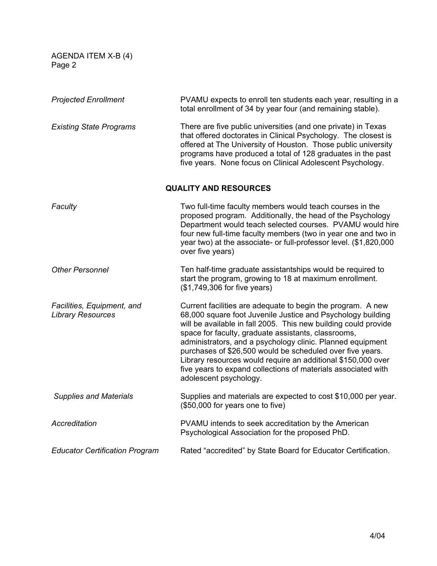AGENDA ITEM X-B (4) Page 2

| <b>Projected Enrollment</b>                            | PVAMU expects to enroll ten students each year, resulting in a<br>total enrollment of 34 by year four (and remaining stable).                                                                                                                                                                                                                                                                                                                                                                                                              |
|--------------------------------------------------------|--------------------------------------------------------------------------------------------------------------------------------------------------------------------------------------------------------------------------------------------------------------------------------------------------------------------------------------------------------------------------------------------------------------------------------------------------------------------------------------------------------------------------------------------|
| <b>Existing State Programs</b>                         | There are five public universities (and one private) in Texas<br>that offered doctorates in Clinical Psychology. The closest is<br>offered at The University of Houston. Those public university<br>programs have produced a total of 128 graduates in the past<br>five years. None focus on Clinical Adolescent Psychology.                                                                                                                                                                                                               |
| <b>QUALITY AND RESOURCES</b>                           |                                                                                                                                                                                                                                                                                                                                                                                                                                                                                                                                            |
| Faculty                                                | Two full-time faculty members would teach courses in the<br>proposed program. Additionally, the head of the Psychology<br>Department would teach selected courses. PVAMU would hire<br>four new full-time faculty members (two in year one and two in<br>year two) at the associate- or full-professor level. (\$1,820,000<br>over five years)                                                                                                                                                                                             |
| <b>Other Personnel</b>                                 | Ten half-time graduate assistantships would be required to<br>start the program, growing to 18 at maximum enrollment.<br>(\$1,749,306 for five years)                                                                                                                                                                                                                                                                                                                                                                                      |
| Facilities, Equipment, and<br><b>Library Resources</b> | Current facilities are adequate to begin the program. A new<br>68,000 square foot Juvenile Justice and Psychology building<br>will be available in fall 2005. This new building could provide<br>space for faculty, graduate assistants, classrooms,<br>administrators, and a psychology clinic. Planned equipment<br>purchases of \$26,500 would be scheduled over five years.<br>Library resources would require an additional \$150,000 over<br>five years to expand collections of materials associated with<br>adolescent psychology. |
| <b>Supplies and Materials</b>                          | Supplies and materials are expected to cost \$10,000 per year.<br>(\$50,000 for years one to five)                                                                                                                                                                                                                                                                                                                                                                                                                                         |
| Accreditation                                          | PVAMU intends to seek accreditation by the American<br>Psychological Association for the proposed PhD.                                                                                                                                                                                                                                                                                                                                                                                                                                     |
| <b>Educator Certification Program</b>                  | Rated "accredited" by State Board for Educator Certification.                                                                                                                                                                                                                                                                                                                                                                                                                                                                              |